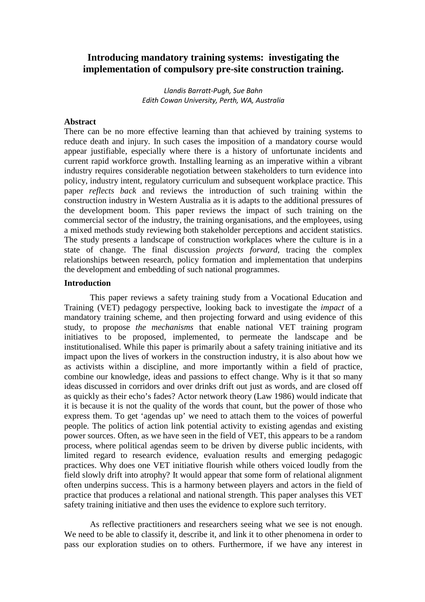# **Introducing mandatory training systems: investigating the implementation of compulsory pre-site construction training.**

Llandis Barratt-Pugh, Sue Bahn Edith Cowan University, Perth, WA, Australia

# **Abstract**

There can be no more effective learning than that achieved by training systems to reduce death and injury. In such cases the imposition of a mandatory course would appear justifiable, especially where there is a history of unfortunate incidents and current rapid workforce growth. Installing learning as an imperative within a vibrant industry requires considerable negotiation between stakeholders to turn evidence into policy, industry intent, regulatory curriculum and subsequent workplace practice. This paper *reflects back* and reviews the introduction of such training within the construction industry in Western Australia as it is adapts to the additional pressures of the development boom. This paper reviews the impact of such training on the commercial sector of the industry, the training organisations, and the employees, using a mixed methods study reviewing both stakeholder perceptions and accident statistics. The study presents a landscape of construction workplaces where the culture is in a state of change. The final discussion *projects forward*, tracing the complex relationships between research, policy formation and implementation that underpins the development and embedding of such national programmes.

#### **Introduction**

This paper reviews a safety training study from a Vocational Education and Training (VET) pedagogy perspective, looking back to investigate the *impact* of a mandatory training scheme, and then projecting forward and using evidence of this study, to propose *the mechanisms* that enable national VET training program initiatives to be proposed, implemented, to permeate the landscape and be institutionalised. While this paper is primarily about a safety training initiative and its impact upon the lives of workers in the construction industry, it is also about how we as activists within a discipline, and more importantly within a field of practice, combine our knowledge, ideas and passions to effect change. Why is it that so many ideas discussed in corridors and over drinks drift out just as words, and are closed off as quickly as their echo's fades? Actor network theory (Law 1986) would indicate that it is because it is not the quality of the words that count, but the power of those who express them. To get 'agendas up' we need to attach them to the voices of powerful people. The politics of action link potential activity to existing agendas and existing power sources. Often, as we have seen in the field of VET, this appears to be a random process, where political agendas seem to be driven by diverse public incidents, with limited regard to research evidence, evaluation results and emerging pedagogic practices. Why does one VET initiative flourish while others voiced loudly from the field slowly drift into atrophy? It would appear that some form of relational alignment often underpins success. This is a harmony between players and actors in the field of practice that produces a relational and national strength. This paper analyses this VET safety training initiative and then uses the evidence to explore such territory.

As reflective practitioners and researchers seeing what we see is not enough. We need to be able to classify it, describe it, and link it to other phenomena in order to pass our exploration studies on to others. Furthermore, if we have any interest in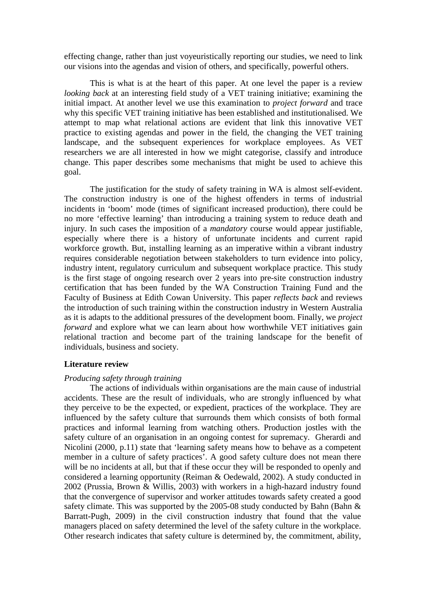effecting change, rather than just voyeuristically reporting our studies, we need to link our visions into the agendas and vision of others, and specifically, powerful others.

This is what is at the heart of this paper. At one level the paper is a review *looking back* at an interesting field study of a VET training initiative; examining the initial impact. At another level we use this examination to *project forward* and trace why this specific VET training initiative has been established and institutionalised. We attempt to map what relational actions are evident that link this innovative VET practice to existing agendas and power in the field, the changing the VET training landscape, and the subsequent experiences for workplace employees. As VET researchers we are all interested in how we might categorise, classify and introduce change. This paper describes some mechanisms that might be used to achieve this goal.

The justification for the study of safety training in WA is almost self-evident. The construction industry is one of the highest offenders in terms of industrial incidents in 'boom' mode (times of significant increased production), there could be no more 'effective learning' than introducing a training system to reduce death and injury. In such cases the imposition of a *mandatory* course would appear justifiable, especially where there is a history of unfortunate incidents and current rapid workforce growth. But, installing learning as an imperative within a vibrant industry requires considerable negotiation between stakeholders to turn evidence into policy, industry intent, regulatory curriculum and subsequent workplace practice. This study is the first stage of ongoing research over 2 years into pre-site construction industry certification that has been funded by the WA Construction Training Fund and the Faculty of Business at Edith Cowan University. This paper *reflects back* and reviews the introduction of such training within the construction industry in Western Australia as it is adapts to the additional pressures of the development boom. Finally, we *project forward* and explore what we can learn about how worthwhile VET initiatives gain relational traction and become part of the training landscape for the benefit of individuals, business and society.

# **Literature review**

#### *Producing safety through training*

The actions of individuals within organisations are the main cause of industrial accidents. These are the result of individuals, who are strongly influenced by what they perceive to be the expected, or expedient, practices of the workplace. They are influenced by the safety culture that surrounds them which consists of both formal practices and informal learning from watching others. Production jostles with the safety culture of an organisation in an ongoing contest for supremacy. Gherardi and Nicolini (2000, p.11) state that 'learning safety means how to behave as a competent member in a culture of safety practices'. A good safety culture does not mean there will be no incidents at all, but that if these occur they will be responded to openly and considered a learning opportunity (Reiman & Oedewald, 2002). A study conducted in 2002 (Prussia, Brown & Willis, 2003) with workers in a high-hazard industry found that the convergence of supervisor and worker attitudes towards safety created a good safety climate. This was supported by the 2005-08 study conducted by Bahn (Bahn & Barratt-Pugh, 2009) in the civil construction industry that found that the value managers placed on safety determined the level of the safety culture in the workplace. Other research indicates that safety culture is determined by, the commitment, ability,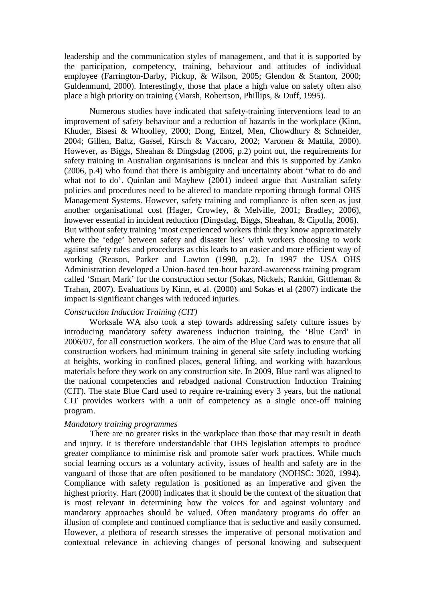leadership and the communication styles of management, and that it is supported by the participation, competency, training, behaviour and attitudes of individual employee (Farrington-Darby, Pickup, & Wilson, 2005; Glendon & Stanton, 2000; Guldenmund, 2000). Interestingly, those that place a high value on safety often also place a high priority on training (Marsh, Robertson, Phillips, & Duff, 1995).

 Numerous studies have indicated that safety-training interventions lead to an improvement of safety behaviour and a reduction of hazards in the workplace (Kinn, Khuder, Bisesi & Whoolley, 2000; Dong, Entzel, Men, Chowdhury & Schneider, 2004; Gillen, Baltz, Gassel, Kirsch & Vaccaro, 2002; Varonen & Mattila, 2000). However, as Biggs, Sheahan & Dingsdag (2006, p.2) point out, the requirements for safety training in Australian organisations is unclear and this is supported by Zanko (2006, p.4) who found that there is ambiguity and uncertainty about 'what to do and what not to do'. Quinlan and Mayhew (2001) indeed argue that Australian safety policies and procedures need to be altered to mandate reporting through formal OHS Management Systems. However, safety training and compliance is often seen as just another organisational cost (Hager, Crowley, & Melville, 2001; Bradley, 2006), however essential in incident reduction (Dingsdag, Biggs, Sheahan, & Cipolla, 2006). But without safety training 'most experienced workers think they know approximately where the 'edge' between safety and disaster lies' with workers choosing to work against safety rules and procedures as this leads to an easier and more efficient way of working (Reason, Parker and Lawton (1998, p.2). In 1997 the USA OHS Administration developed a Union-based ten-hour hazard-awareness training program called 'Smart Mark' for the construction sector (Sokas, Nickels, Rankin, Gittleman & Trahan, 2007). Evaluations by Kinn, et al. (2000) and Sokas et al (2007) indicate the impact is significant changes with reduced injuries.

# *Construction Induction Training (CIT)*

 Worksafe WA also took a step towards addressing safety culture issues by introducing mandatory safety awareness induction training, the 'Blue Card' in 2006/07, for all construction workers. The aim of the Blue Card was to ensure that all construction workers had minimum training in general site safety including working at heights, working in confined places, general lifting, and working with hazardous materials before they work on any construction site. In 2009, Blue card was aligned to the national competencies and rebadged national Construction Induction Training (CIT). The state Blue Card used to require re-training every 3 years, but the national CIT provides workers with a unit of competency as a single once-off training program.

#### *Mandatory training programmes*

There are no greater risks in the workplace than those that may result in death and injury. It is therefore understandable that OHS legislation attempts to produce greater compliance to minimise risk and promote safer work practices. While much social learning occurs as a voluntary activity, issues of health and safety are in the vanguard of those that are often positioned to be mandatory (NOHSC: 3020, 1994). Compliance with safety regulation is positioned as an imperative and given the highest priority. Hart (2000) indicates that it should be the context of the situation that is most relevant in determining how the voices for and against voluntary and mandatory approaches should be valued. Often mandatory programs do offer an illusion of complete and continued compliance that is seductive and easily consumed. However, a plethora of research stresses the imperative of personal motivation and contextual relevance in achieving changes of personal knowing and subsequent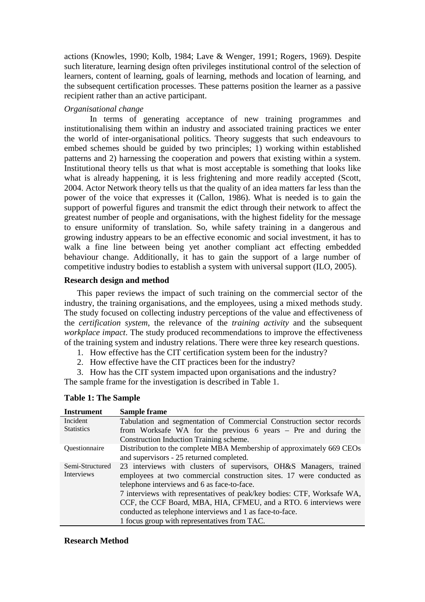actions (Knowles, 1990; Kolb, 1984; Lave & Wenger, 1991; Rogers, 1969). Despite such literature, learning design often privileges institutional control of the selection of learners, content of learning, goals of learning, methods and location of learning, and the subsequent certification processes. These patterns position the learner as a passive recipient rather than an active participant.

# *Organisational change*

In terms of generating acceptance of new training programmes and institutionalising them within an industry and associated training practices we enter the world of inter-organisational politics. Theory suggests that such endeavours to embed schemes should be guided by two principles; 1) working within established patterns and 2) harnessing the cooperation and powers that existing within a system. Institutional theory tells us that what is most acceptable is something that looks like what is already happening, it is less frightening and more readily accepted (Scott, 2004. Actor Network theory tells us that the quality of an idea matters far less than the power of the voice that expresses it (Callon, 1986). What is needed is to gain the support of powerful figures and transmit the edict through their network to affect the greatest number of people and organisations, with the highest fidelity for the message to ensure uniformity of translation. So, while safety training in a dangerous and growing industry appears to be an effective economic and social investment, it has to walk a fine line between being yet another compliant act effecting embedded behaviour change. Additionally, it has to gain the support of a large number of competitive industry bodies to establish a system with universal support (ILO, 2005).

# **Research design and method**

This paper reviews the impact of such training on the commercial sector of the industry, the training organisations, and the employees, using a mixed methods study. The study focused on collecting industry perceptions of the value and effectiveness of the *certification system*, the relevance of the *training activity* and the subsequent *workplace impact*. The study produced recommendations to improve the effectiveness of the training system and industry relations. There were three key research questions.

- 1. How effective has the CIT certification system been for the industry?
- 2. How effective have the CIT practices been for the industry?

3. How has the CIT system impacted upon organisations and the industry? The sample frame for the investigation is described in Table 1.

| <b>Instrument</b>             | <b>Sample frame</b>                                                                                                                                                                                                                                                                                                                                                                                                                                   |  |  |  |
|-------------------------------|-------------------------------------------------------------------------------------------------------------------------------------------------------------------------------------------------------------------------------------------------------------------------------------------------------------------------------------------------------------------------------------------------------------------------------------------------------|--|--|--|
| Incident<br><b>Statistics</b> | Tabulation and segmentation of Commercial Construction sector records<br>from Worksafe WA for the previous 6 years – Pre and during the<br>Construction Induction Training scheme.                                                                                                                                                                                                                                                                    |  |  |  |
| <b>Ouestionnaire</b>          | Distribution to the complete MBA Membership of approximately 669 CEOs<br>and supervisors - 25 returned completed.                                                                                                                                                                                                                                                                                                                                     |  |  |  |
| Semi-Structured<br>Interviews | 23 interviews with clusters of supervisors, OH&S Managers, trained<br>employees at two commercial construction sites. 17 were conducted as<br>telephone interviews and 6 as face-to-face.<br>7 interviews with representatives of peak/key bodies: CTF, Worksafe WA,<br>CCF, the CCF Board, MBA, HIA, CFMEU, and a RTO. 6 interviews were<br>conducted as telephone interviews and 1 as face-to-face.<br>1 focus group with representatives from TAC. |  |  |  |

# **Research Method**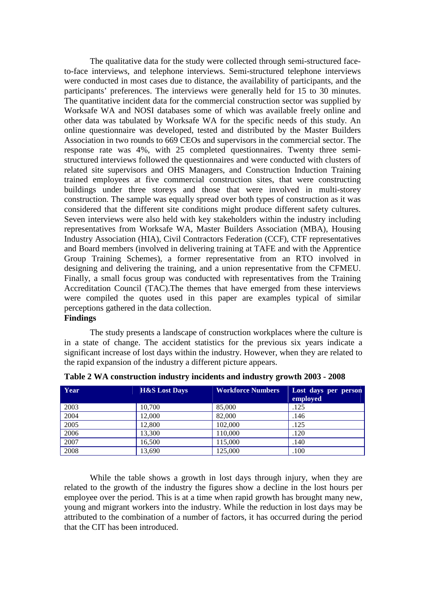The qualitative data for the study were collected through semi-structured faceto-face interviews, and telephone interviews. Semi-structured telephone interviews were conducted in most cases due to distance, the availability of participants, and the participants' preferences. The interviews were generally held for 15 to 30 minutes. The quantitative incident data for the commercial construction sector was supplied by Worksafe WA and NOSI databases some of which was available freely online and other data was tabulated by Worksafe WA for the specific needs of this study. An online questionnaire was developed, tested and distributed by the Master Builders Association in two rounds to 669 CEOs and supervisors in the commercial sector. The response rate was 4%, with 25 completed questionnaires. Twenty three semistructured interviews followed the questionnaires and were conducted with clusters of related site supervisors and OHS Managers, and Construction Induction Training trained employees at five commercial construction sites, that were constructing buildings under three storeys and those that were involved in multi-storey construction. The sample was equally spread over both types of construction as it was considered that the different site conditions might produce different safety cultures. Seven interviews were also held with key stakeholders within the industry including representatives from Worksafe WA, Master Builders Association (MBA), Housing Industry Association (HIA), Civil Contractors Federation (CCF), CTF representatives and Board members (involved in delivering training at TAFE and with the Apprentice Group Training Schemes), a former representative from an RTO involved in designing and delivering the training, and a union representative from the CFMEU. Finally, a small focus group was conducted with representatives from the Training Accreditation Council (TAC).The themes that have emerged from these interviews were compiled the quotes used in this paper are examples typical of similar perceptions gathered in the data collection. **Findings** 

The study presents a landscape of construction workplaces where the culture is in a state of change. The accident statistics for the previous six years indicate a significant increase of lost days within the industry. However, when they are related to the rapid expansion of the industry a different picture appears.

| Year | <b>H&amp;S Lost Days</b> | <b>Workforce Numbers</b> | Lost days per person<br>employed |
|------|--------------------------|--------------------------|----------------------------------|
| 2003 | 10,700                   | 85,000                   | .125                             |
| 2004 | 12.000                   | 82,000                   | .146                             |
| 2005 | 12,800                   | 102,000                  | .125                             |
| 2006 | 13,300                   | 110,000                  | .120                             |
| 2007 | 16.500                   | 115,000                  | .140                             |
| 2008 | 13,690                   | 125,000                  | .100                             |

**Table 2 WA construction industry incidents and industry growth 2003 - 2008** 

While the table shows a growth in lost days through injury, when they are related to the growth of the industry the figures show a decline in the lost hours per employee over the period. This is at a time when rapid growth has brought many new, young and migrant workers into the industry. While the reduction in lost days may be attributed to the combination of a number of factors, it has occurred during the period that the CIT has been introduced.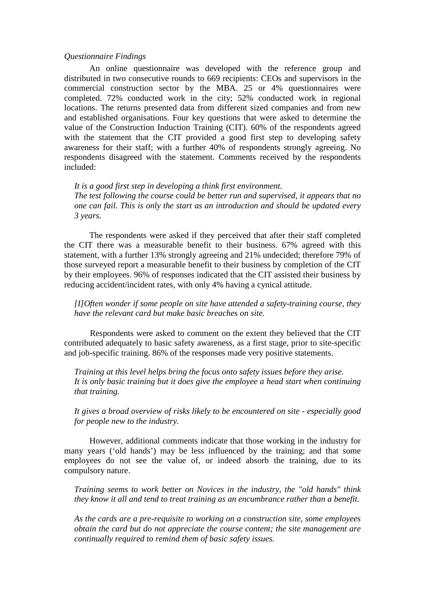#### *Questionnaire Findings*

An online questionnaire was developed with the reference group and distributed in two consecutive rounds to 669 recipients: CEOs and supervisors in the commercial construction sector by the MBA. 25 or 4% questionnaires were completed. 72% conducted work in the city; 52% conducted work in regional locations. The returns presented data from different sized companies and from new and established organisations. Four key questions that were asked to determine the value of the Construction Induction Training (CIT). 60% of the respondents agreed with the statement that the CIT provided a good first step to developing safety awareness for their staff; with a further 40% of respondents strongly agreeing. No respondents disagreed with the statement. Comments received by the respondents included:

*It is a good first step in developing a think first environment. The test following the course could be better run and supervised, it appears that no one can fail. This is only the start as an introduction and should be updated every 3 years.* 

The respondents were asked if they perceived that after their staff completed the CIT there was a measurable benefit to their business. 67% agreed with this statement, with a further 13% strongly agreeing and 21% undecided; therefore 79% of those surveyed report a measurable benefit to their business by completion of the CIT by their employees. 96% of responses indicated that the CIT assisted their business by reducing accident/incident rates, with only 4% having a cynical attitude.

*[I]Often wonder if some people on site have attended a safety-training course, they have the relevant card but make basic breaches on site.* 

Respondents were asked to comment on the extent they believed that the CIT contributed adequately to basic safety awareness, as a first stage, prior to site-specific and job-specific training. 86% of the responses made very positive statements.

*Training at this level helps bring the focus onto safety issues before they arise. It is only basic training but it does give the employee a head start when continuing that training.* 

*It gives a broad overview of risks likely to be encountered on site - especially good for people new to the industry.* 

However, additional comments indicate that those working in the industry for many years ('old hands') may be less influenced by the training; and that some employees do not see the value of, or indeed absorb the training, due to its compulsory nature.

*Training seems to work better on Novices in the industry, the "old hands" think they know it all and tend to treat training as an encumbrance rather than a benefit.* 

*As the cards are a pre-requisite to working on a construction site, some employees obtain the card but do not appreciate the course content; the site management are continually required to remind them of basic safety issues.*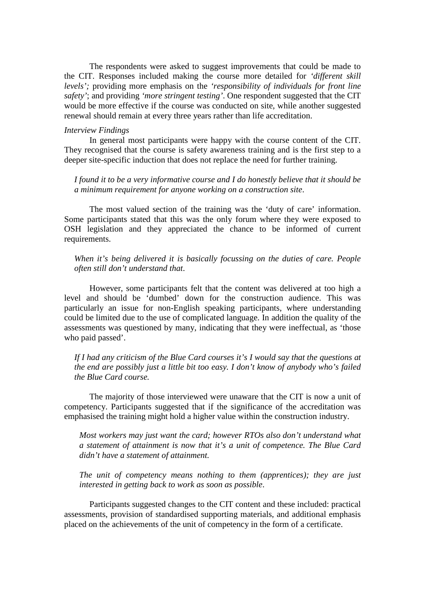The respondents were asked to suggest improvements that could be made to the CIT. Responses included making the course more detailed for *'different skill levels';* providing more emphasis on the *'responsibility of individuals for front line safety'*; and providing *'more stringent testing'*. One respondent suggested that the CIT would be more effective if the course was conducted on site, while another suggested renewal should remain at every three years rather than life accreditation.

#### *Interview Findings*

In general most participants were happy with the course content of the CIT. They recognised that the course is safety awareness training and is the first step to a deeper site-specific induction that does not replace the need for further training.

*I found it to be a very informative course and I do honestly believe that it should be a minimum requirement for anyone working on a construction site*.

The most valued section of the training was the 'duty of care' information. Some participants stated that this was the only forum where they were exposed to OSH legislation and they appreciated the chance to be informed of current requirements.

### *When it's being delivered it is basically focussing on the duties of care. People often still don't understand that*.

However, some participants felt that the content was delivered at too high a level and should be 'dumbed' down for the construction audience. This was particularly an issue for non-English speaking participants, where understanding could be limited due to the use of complicated language. In addition the quality of the assessments was questioned by many, indicating that they were ineffectual, as 'those who paid passed'.

*If I had any criticism of the Blue Card courses it's I would say that the questions at the end are possibly just a little bit too easy. I don't know of anybody who's failed the Blue Card course.* 

The majority of those interviewed were unaware that the CIT is now a unit of competency. Participants suggested that if the significance of the accreditation was emphasised the training might hold a higher value within the construction industry.

*Most workers may just want the card; however RTOs also don't understand what a statement of attainment is now that it's a unit of competence. The Blue Card didn't have a statement of attainment.* 

*The unit of competency means nothing to them (apprentices); they are just interested in getting back to work as soon as possible*.

Participants suggested changes to the CIT content and these included: practical assessments, provision of standardised supporting materials, and additional emphasis placed on the achievements of the unit of competency in the form of a certificate.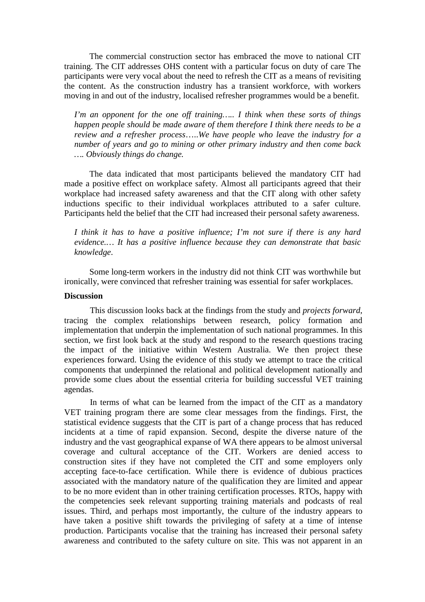The commercial construction sector has embraced the move to national CIT training. The CIT addresses OHS content with a particular focus on duty of care The participants were very vocal about the need to refresh the CIT as a means of revisiting the content. As the construction industry has a transient workforce, with workers moving in and out of the industry, localised refresher programmes would be a benefit.

*I'm an opponent for the one off training….. I think when these sorts of things happen people should be made aware of them therefore I think there needs to be a review and a refresher process*…..*We have people who leave the industry for a number of years and go to mining or other primary industry and then come back …. Obviously things do change.* 

The data indicated that most participants believed the mandatory CIT had made a positive effect on workplace safety. Almost all participants agreed that their workplace had increased safety awareness and that the CIT along with other safety inductions specific to their individual workplaces attributed to a safer culture. Participants held the belief that the CIT had increased their personal safety awareness.

*I think it has to have a positive influence; I'm not sure if there is any hard evidence.… It has a positive influence because they can demonstrate that basic knowledge*.

Some long-term workers in the industry did not think CIT was worthwhile but ironically, were convinced that refresher training was essential for safer workplaces.

### **Discussion**

This discussion looks back at the findings from the study and *projects forward*, tracing the complex relationships between research, policy formation and implementation that underpin the implementation of such national programmes. In this section, we first look back at the study and respond to the research questions tracing the impact of the initiative within Western Australia. We then project these experiences forward. Using the evidence of this study we attempt to trace the critical components that underpinned the relational and political development nationally and provide some clues about the essential criteria for building successful VET training agendas.

In terms of what can be learned from the impact of the CIT as a mandatory VET training program there are some clear messages from the findings. First, the statistical evidence suggests that the CIT is part of a change process that has reduced incidents at a time of rapid expansion. Second, despite the diverse nature of the industry and the vast geographical expanse of WA there appears to be almost universal coverage and cultural acceptance of the CIT. Workers are denied access to construction sites if they have not completed the CIT and some employers only accepting face-to-face certification. While there is evidence of dubious practices associated with the mandatory nature of the qualification they are limited and appear to be no more evident than in other training certification processes. RTOs, happy with the competencies seek relevant supporting training materials and podcasts of real issues. Third, and perhaps most importantly, the culture of the industry appears to have taken a positive shift towards the privileging of safety at a time of intense production. Participants vocalise that the training has increased their personal safety awareness and contributed to the safety culture on site. This was not apparent in an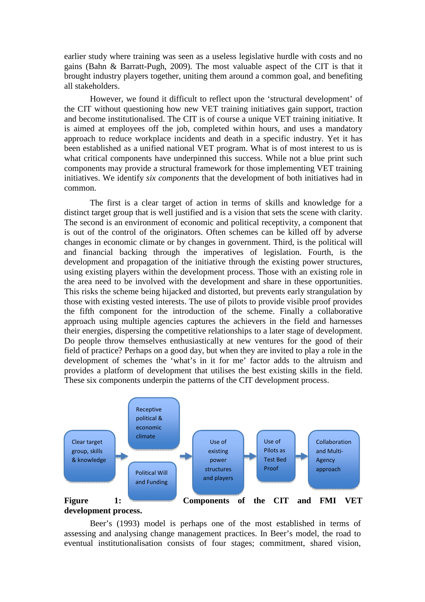earlier study where training was seen as a useless legislative hurdle with costs and no gains (Bahn & Barratt-Pugh, 2009). The most valuable aspect of the CIT is that it brought industry players together, uniting them around a common goal, and benefiting all stakeholders.

However, we found it difficult to reflect upon the 'structural development' of the CIT without questioning how new VET training initiatives gain support, traction and become institutionalised. The CIT is of course a unique VET training initiative. It is aimed at employees off the job, completed within hours, and uses a mandatory approach to reduce workplace incidents and death in a specific industry. Yet it has been established as a unified national VET program. What is of most interest to us is what critical components have underpinned this success. While not a blue print such components may provide a structural framework for those implementing VET training initiatives. We identify *six components* that the development of both initiatives had in common.

The first is a clear target of action in terms of skills and knowledge for a distinct target group that is well justified and is a vision that sets the scene with clarity. The second is an environment of economic and political receptivity, a component that is out of the control of the originators. Often schemes can be killed off by adverse changes in economic climate or by changes in government. Third, is the political will and financial backing through the imperatives of legislation. Fourth, is the development and propagation of the initiative through the existing power structures, using existing players within the development process. Those with an existing role in the area need to be involved with the development and share in these opportunities. This risks the scheme being hijacked and distorted, but prevents early strangulation by those with existing vested interests. The use of pilots to provide visible proof provides the fifth component for the introduction of the scheme. Finally a collaborative approach using multiple agencies captures the achievers in the field and harnesses their energies, dispersing the competitive relationships to a later stage of development. Do people throw themselves enthusiastically at new ventures for the good of their field of practice? Perhaps on a good day, but when they are invited to play a role in the development of schemes the 'what's in it for me' factor adds to the altruism and provides a platform of development that utilises the best existing skills in the field. These six components underpin the patterns of the CIT development process.



Beer's (1993) model is perhaps one of the most established in terms of assessing and analysing change management practices. In Beer's model, the road to eventual institutionalisation consists of four stages; commitment, shared vision,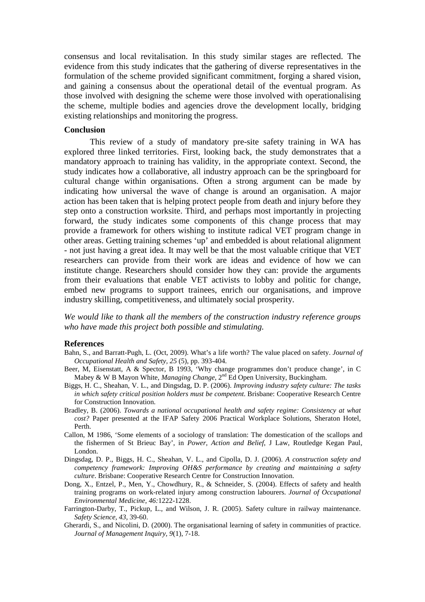consensus and local revitalisation. In this study similar stages are reflected. The evidence from this study indicates that the gathering of diverse representatives in the formulation of the scheme provided significant commitment, forging a shared vision, and gaining a consensus about the operational detail of the eventual program. As those involved with designing the scheme were those involved with operationalising the scheme, multiple bodies and agencies drove the development locally, bridging existing relationships and monitoring the progress.

#### **Conclusion**

This review of a study of mandatory pre-site safety training in WA has explored three linked territories. First, looking back, the study demonstrates that a mandatory approach to training has validity, in the appropriate context. Second, the study indicates how a collaborative, all industry approach can be the springboard for cultural change within organisations. Often a strong argument can be made by indicating how universal the wave of change is around an organisation. A major action has been taken that is helping protect people from death and injury before they step onto a construction worksite. Third, and perhaps most importantly in projecting forward, the study indicates some components of this change process that may provide a framework for others wishing to institute radical VET program change in other areas. Getting training schemes 'up' and embedded is about relational alignment - not just having a great idea. It may well be that the most valuable critique that VET researchers can provide from their work are ideas and evidence of how we can institute change. Researchers should consider how they can: provide the arguments from their evaluations that enable VET activists to lobby and politic for change, embed new programs to support trainees, enrich our organisations, and improve industry skilling, competitiveness, and ultimately social prosperity.

*We would like to thank all the members of the construction industry reference groups who have made this project both possible and stimulating.* 

#### **References**

- Bahn, S., and Barratt-Pugh, L. (Oct, 2009). What's a life worth? The value placed on safety. *Journal of Occupational Health and Safety, 25* (5), pp. 393-404.
- Beer, M, Eisenstatt, A & Spector, B 1993, 'Why change programmes don't produce change', in C Mabey & W B Mayon White, *Managing Change*, 2<sup>nd</sup> Ed Open University, Buckingham.
- Biggs, H. C., Sheahan, V. L., and Dingsdag, D. P. (2006). *Improving industry safety culture: The tasks in which safety critical position holders must be competent*. Brisbane: Cooperative Research Centre for Construction Innovation.
- Bradley, B. (2006). *Towards a national occupational health and safety regime: Consistency at what cost?* Paper presented at the IFAP Safety 2006 Practical Workplace Solutions, Sheraton Hotel, Perth.
- Callon, M 1986, 'Some elements of a sociology of translation: The domestication of the scallops and the fishermen of St Brieuc Bay', in *Power, Action and Belief*, J Law, Routledge Kegan Paul, London.
- Dingsdag, D. P., Biggs, H. C., Sheahan, V. L., and Cipolla, D. J. (2006). *A construction safety and competency framework: Improving OH&S performance by creating and maintaining a safety culture*. Brisbane: Cooperative Research Centre for Construction Innovation.
- Dong, X., Entzel, P., Men, Y., Chowdhury, R., & Schneider, S. (2004). Effects of safety and health training programs on work-related injury among construction labourers. *Journal of Occupational Environmental Medicine, 46:*1222-1228.
- Farrington-Darby, T., Pickup, L., and Wilson, J. R. (2005). Safety culture in railway maintenance. *Safety Science, 43*, 39-60.
- Gherardi, S., and Nicolini, D. (2000). The organisational learning of safety in communities of practice. *Journal of Management Inquiry, 9*(1), 7-18.